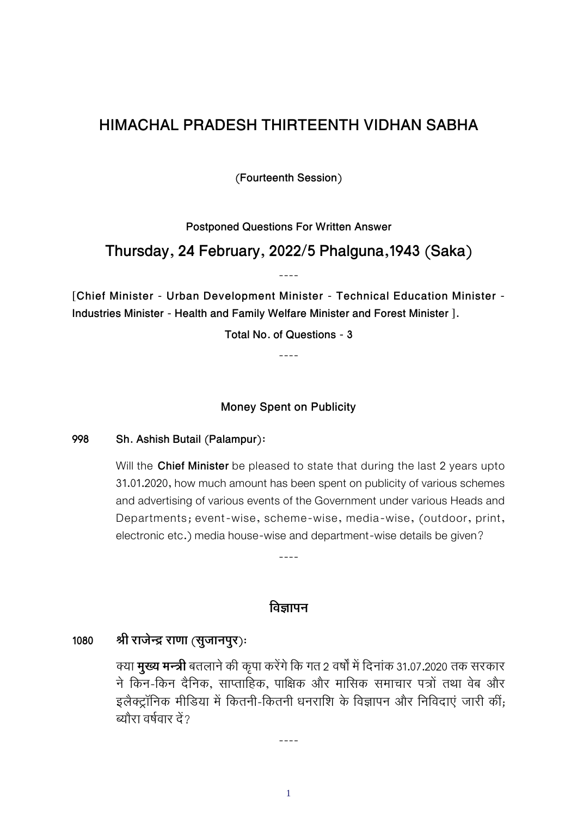## **HIMACHAL PRADESH THIRTEENTH VIDHAN SABHA**

**(Fourteenth Session)**

**Postponed Questions For Written Answer**

### **Thursday, 24 February, 2022/5 Phalguna,1943 (Saka)**

----

**[Chief Minister - Urban Development Minister - Technical Education Minister - Industries Minister - Health and Family Welfare Minister and Forest Minister ].**

**Total No. of Questions - 3**

----

**Money Spent on Publicity**

**998 Sh. Ashish Butail (Palampur)**:

Will the **Chief Minister** be pleased to state that during the last 2 years upto 31.01.2020, how much amount has been spent on publicity of various schemes and advertising of various events of the Government under various Heads and Departments; event-wise, scheme-wise, media-wise, (outdoor, print, electronic etc.) media house-wise and department-wise details be given?

----

#### **िव ापन**

#### **1080 ी राजे राणा (सुजानपुर)**:

क्या **मुख्य मन्त्री** बतलाने की कृपा करेंगे कि गत 2 वर्षों में दिनांक 31.07.2020 तक सरकार ने किन-किन दैनिक, साप्ताहिक, पाक्षिक और मासिक समाचार पत्रों तथा वेब और इलैक्ट्रॉनिक मीडिया में कितनी-कितनी धनराशि के विज्ञापन और निविदाएं जारी कीं; त्योरा वर्षवार दें $\overline{2}$ 

1

----